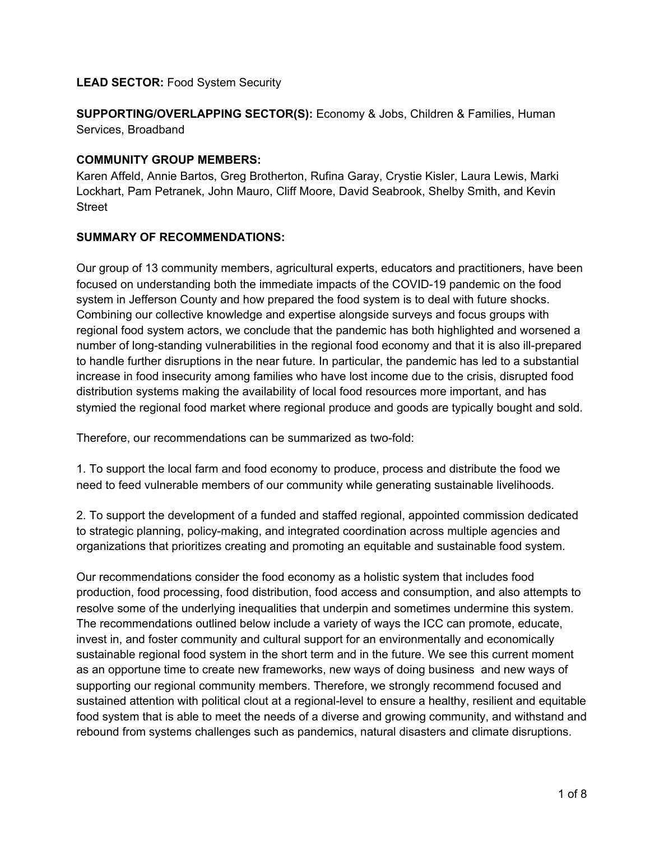### **LEAD SECTOR:** Food System Security

**SUPPORTING/OVERLAPPING SECTOR(S):** Economy & Jobs, Children & Families, Human Services, Broadband

#### **COMMUNITY GROUP MEMBERS:**

Karen Affeld, Annie Bartos, Greg Brotherton, Rufina Garay, Crystie Kisler, Laura Lewis, Marki Lockhart, Pam Petranek, John Mauro, Cliff Moore, David Seabrook, Shelby Smith, and Kevin **Street** 

### **SUMMARY OF RECOMMENDATIONS:**

Our group of 13 community members, agricultural experts, educators and practitioners, have been focused on understanding both the immediate impacts of the COVID-19 pandemic on the food system in Jefferson County and how prepared the food system is to deal with future shocks. Combining our collective knowledge and expertise alongside surveys and focus groups with regional food system actors, we conclude that the pandemic has both highlighted and worsened a number of long-standing vulnerabilities in the regional food economy and that it is also ill-prepared to handle further disruptions in the near future. In particular, the pandemic has led to a substantial increase in food insecurity among families who have lost income due to the crisis, disrupted food distribution systems making the availability of local food resources more important, and has stymied the regional food market where regional produce and goods are typically bought and sold.

Therefore, our recommendations can be summarized as two-fold:

1. To support the local farm and food economy to produce, process and distribute the food we need to feed vulnerable members of our community while generating sustainable livelihoods.

2. To support the development of a funded and staffed regional, appointed commission dedicated to strategic planning, policy-making, and integrated coordination across multiple agencies and organizations that prioritizes creating and promoting an equitable and sustainable food system.

Our recommendations consider the food economy as a holistic system that includes food production, food processing, food distribution, food access and consumption, and also attempts to resolve some of the underlying inequalities that underpin and sometimes undermine this system. The recommendations outlined below include a variety of ways the ICC can promote, educate, invest in, and foster community and cultural support for an environmentally and economically sustainable regional food system in the short term and in the future. We see this current moment as an opportune time to create new frameworks, new ways of doing business and new ways of supporting our regional community members. Therefore, we strongly recommend focused and sustained attention with political clout at a regional-level to ensure a healthy, resilient and equitable food system that is able to meet the needs of a diverse and growing community, and withstand and rebound from systems challenges such as pandemics, natural disasters and climate disruptions.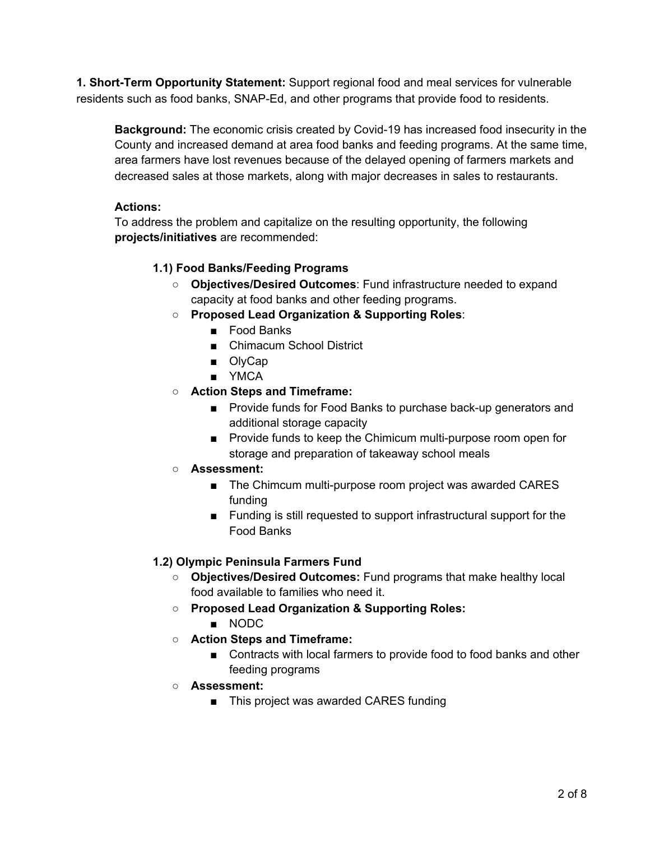**1. Short-Term Opportunity Statement:** Support regional food and meal services for vulnerable residents such as food banks, SNAP-Ed, and other programs that provide food to residents.

**Background:** The economic crisis created by Covid-19 has increased food insecurity in the County and increased demand at area food banks and feeding programs. At the same time, area farmers have lost revenues because of the delayed opening of farmers markets and decreased sales at those markets, along with major decreases in sales to restaurants.

## **Actions:**

To address the problem and capitalize on the resulting opportunity, the following **projects/initiatives** are recommended:

# **1.1) Food Banks/Feeding Programs**

- **Objectives/Desired Outcomes**: Fund infrastructure needed to expand capacity at food banks and other feeding programs.
- **Proposed Lead Organization & Supporting Roles**:
	- Food Banks
	- Chimacum School District
	- OlyCap
	- YMCA
- **○ Action Steps and Timeframe:**
	- Provide funds for Food Banks to purchase back-up generators and additional storage capacity
	- Provide funds to keep the Chimicum multi-purpose room open for storage and preparation of takeaway school meals
- **○ Assessment:**
	- The Chimcum multi-purpose room project was awarded CARES funding
	- Funding is still requested to support infrastructural support for the Food Banks

# **1.2) Olympic Peninsula Farmers Fund**

- **Objectives/Desired Outcomes:** Fund programs that make healthy local food available to families who need it.
- **○ Proposed Lead Organization & Supporting Roles:**
	- NODC
- **○ Action Steps and Timeframe:**
	- Contracts with local farmers to provide food to food banks and other feeding programs
- **○ Assessment:**
	- This project was awarded CARES funding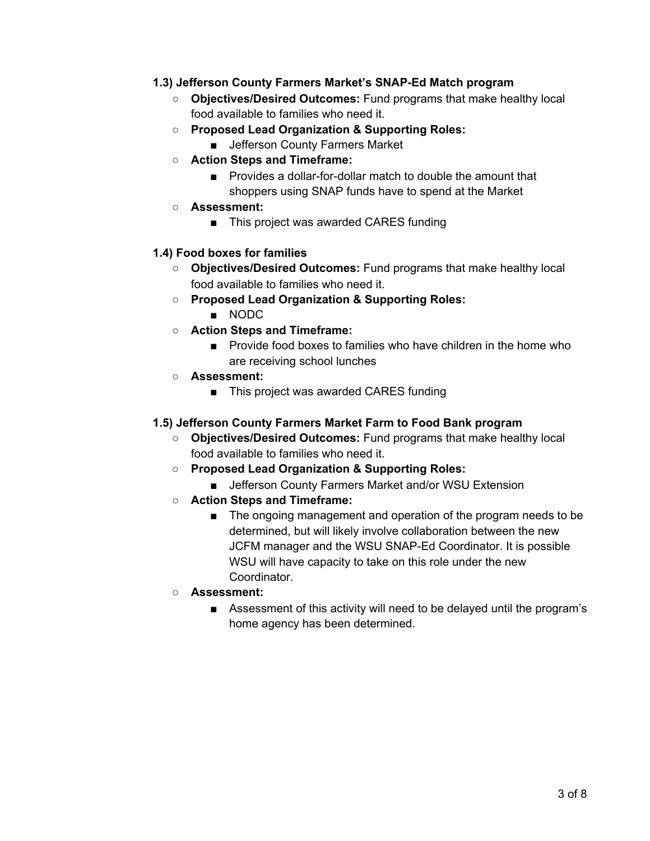### **1.3) Jefferson County Farmers Market's SNAP-Ed Match program**

- **Objectives/Desired Outcomes:** Fund programs that make healthy local food available to families who need it.
- **○ Proposed Lead Organization & Supporting Roles:**
	- Jefferson County Farmers Market
- **○ Action Steps and Timeframe:**
	- Provides a dollar-for-dollar match to double the amount that shoppers using SNAP funds have to spend at the Market
- **○ Assessment:**
	- This project was awarded CARES funding

## **1.4) Food boxes for families**

- **Objectives/Desired Outcomes:** Fund programs that make healthy local food available to families who need it.
- **○ Proposed Lead Organization & Supporting Roles:**
	- NODC
- **○ Action Steps and Timeframe:**
	- Provide food boxes to families who have children in the home who are receiving school lunches
- **○ Assessment:**
	- This project was awarded CARES funding

## **1.5) Jefferson County Farmers Market Farm to Food Bank program**

- **Objectives/Desired Outcomes:** Fund programs that make healthy local food available to families who need it.
- **○ Proposed Lead Organization & Supporting Roles:**
	- Jefferson County Farmers Market and/or WSU Extension
- **○ Action Steps and Timeframe:**
	- The ongoing management and operation of the program needs to be determined, but will likely involve collaboration between the new JCFM manager and the WSU SNAP-Ed Coordinator. It is possible WSU will have capacity to take on this role under the new Coordinator.
- **○ Assessment:**
	- Assessment of this activity will need to be delayed until the program's home agency has been determined.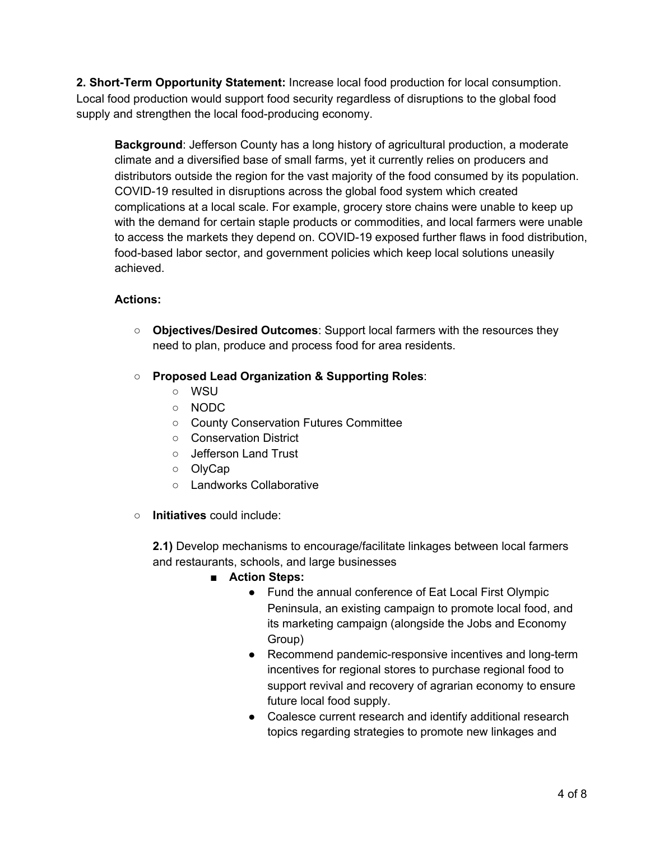**2. Short-Term Opportunity Statement:** Increase local food production for local consumption. Local food production would support food security regardless of disruptions to the global food supply and strengthen the local food-producing economy.

**Background**: Jefferson County has a long history of agricultural production, a moderate climate and a diversified base of small farms, yet it currently relies on producers and distributors outside the region for the vast majority of the food consumed by its population. COVID-19 resulted in disruptions across the global food system which created complications at a local scale. For example, grocery store chains were unable to keep up with the demand for certain staple products or commodities, and local farmers were unable to access the markets they depend on. COVID-19 exposed further flaws in food distribution, food-based labor sector, and government policies which keep local solutions uneasily achieved.

## **Actions:**

- **Objectives/Desired Outcomes**: Support local farmers with the resources they need to plan, produce and process food for area residents.
- **Proposed Lead Organization & Supporting Roles**:
	- WSU
	- NODC
	- County Conservation Futures Committee
	- Conservation District
	- Jefferson Land Trust
	- OlyCap
	- Landworks Collaborative
- **Initiatives** could include:

**2.1)** Develop mechanisms to encourage/facilitate linkages between local farmers and restaurants, schools, and large businesses

- **■ Action Steps:**
	- Fund the annual conference of Eat Local First Olympic Peninsula, an existing campaign to promote local food, and its marketing campaign (alongside the Jobs and Economy Group)
	- Recommend pandemic-responsive incentives and long-term incentives for regional stores to purchase regional food to support revival and recovery of agrarian economy to ensure future local food supply.
	- Coalesce current research and identify additional research topics regarding strategies to promote new linkages and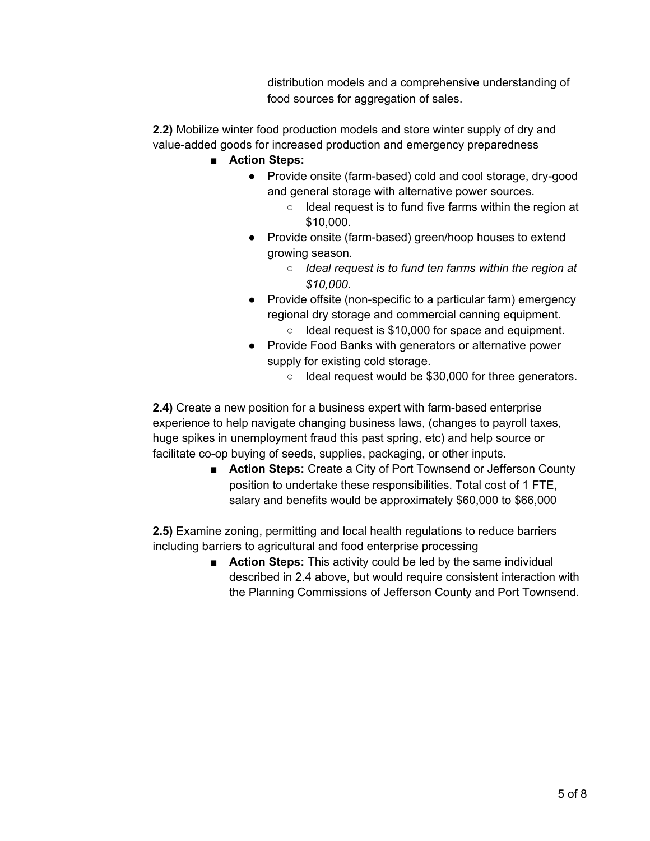distribution models and a comprehensive understanding of food sources for aggregation of sales.

**2.2)** Mobilize winter food production models and store winter supply of dry and value-added goods for increased production and emergency preparedness

- **■ Action Steps:**
	- Provide onsite (farm-based) cold and cool storage, dry-good and general storage with alternative power sources.
		- Ideal request is to fund five farms within the region at \$10,000.
	- Provide onsite (farm-based) green/hoop houses to extend growing season.
		- *Ideal request is to fund ten farms within the region at \$10,000.*
	- Provide offsite (non-specific to a particular farm) emergency regional dry storage and commercial canning equipment. ○ Ideal request is \$10,000 for space and equipment.
	- Provide Food Banks with generators or alternative power supply for existing cold storage.
		- Ideal request would be \$30,000 for three generators.

**2.4)** Create a new position for a business expert with farm-based enterprise experience to help navigate changing business laws, (changes to payroll taxes, huge spikes in unemployment fraud this past spring, etc) and help source or facilitate co-op buying of seeds, supplies, packaging, or other inputs.

■ **Action Steps:** Create a City of Port Townsend or Jefferson County position to undertake these responsibilities. Total cost of 1 FTE, salary and benefits would be approximately \$60,000 to \$66,000

**2.5)** Examine zoning, permitting and local health regulations to reduce barriers including barriers to agricultural and food enterprise processing

> ■ **Action Steps:** This activity could be led by the same individual described in 2.4 above, but would require consistent interaction with the Planning Commissions of Jefferson County and Port Townsend.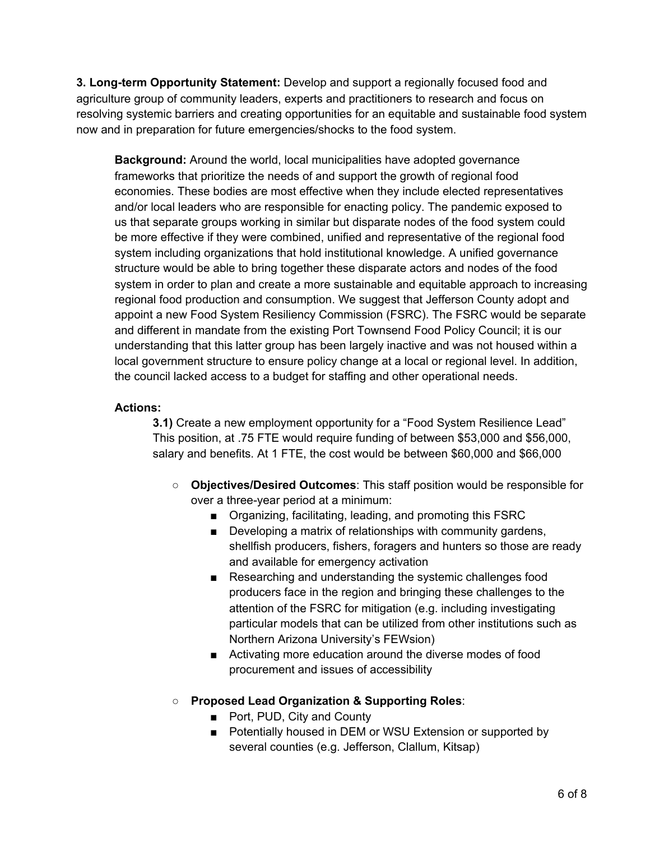**3. Long-term Opportunity Statement:** Develop and support a regionally focused food and agriculture group of community leaders, experts and practitioners to research and focus on resolving systemic barriers and creating opportunities for an equitable and sustainable food system now and in preparation for future emergencies/shocks to the food system.

**Background:** Around the world, local municipalities have adopted governance frameworks that prioritize the needs of and support the growth of regional food economies. These bodies are most effective when they include elected representatives and/or local leaders who are responsible for enacting policy. The pandemic exposed to us that separate groups working in similar but disparate nodes of the food system could be more effective if they were combined, unified and representative of the regional food system including organizations that hold institutional knowledge. A unified governance structure would be able to bring together these disparate actors and nodes of the food system in order to plan and create a more sustainable and equitable approach to increasing regional food production and consumption. We suggest that Jefferson County adopt and appoint a new Food System Resiliency Commission (FSRC). The FSRC would be separate and different in mandate from the existing Port Townsend Food Policy Council; it is our understanding that this latter group has been largely inactive and was not housed within a local government structure to ensure policy change at a local or regional level. In addition, the council lacked access to a budget for staffing and other operational needs.

### **Actions:**

**3.1)** Create a new employment opportunity for a "Food System Resilience Lead" This position, at .75 FTE would require funding of between \$53,000 and \$56,000, salary and benefits. At 1 FTE, the cost would be between \$60,000 and \$66,000

- **Objectives/Desired Outcomes**: This staff position would be responsible for over a three-year period at a minimum:
	- Organizing, facilitating, leading, and promoting this FSRC
	- Developing a matrix of relationships with community gardens, shellfish producers, fishers, foragers and hunters so those are ready and available for emergency activation
	- Researching and understanding the systemic challenges food producers face in the region and bringing these challenges to the attention of the FSRC for mitigation (e.g. including investigating particular models that can be utilized from other institutions such as Northern Arizona University's FEWsion)
	- Activating more education around the diverse modes of food procurement and issues of accessibility
- **Proposed Lead Organization & Supporting Roles**:
	- Port, PUD, City and County
	- Potentially housed in DEM or WSU Extension or supported by several counties (e.g. Jefferson, Clallum, Kitsap)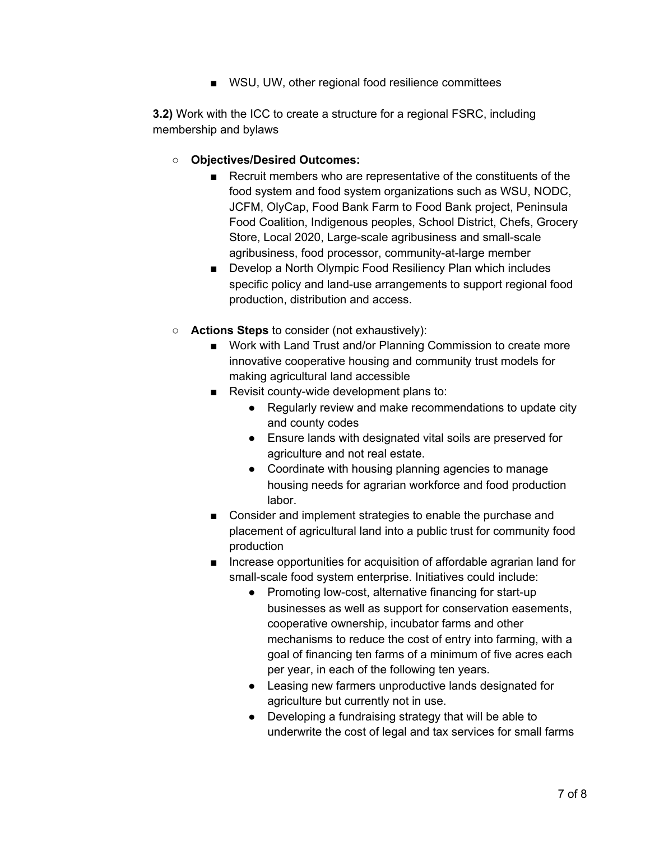■ WSU, UW, other regional food resilience committees

**3.2)** Work with the ICC to create a structure for a regional FSRC, including membership and bylaws

- **○ Objectives/Desired Outcomes:**
	- Recruit members who are representative of the constituents of the food system and food system organizations such as WSU, NODC, JCFM, OlyCap, Food Bank Farm to Food Bank project, Peninsula Food Coalition, Indigenous peoples, School District, Chefs, Grocery Store, Local 2020, Large-scale agribusiness and small-scale agribusiness, food processor, community-at-large member
	- Develop a North Olympic Food Resiliency Plan which includes specific policy and land-use arrangements to support regional food production, distribution and access.
- **Actions Steps** to consider (not exhaustively):
	- Work with Land Trust and/or Planning Commission to create more innovative cooperative housing and community trust models for making agricultural land accessible
	- Revisit county-wide development plans to:
		- Regularly review and make recommendations to update city and county codes
		- Ensure lands with designated vital soils are preserved for agriculture and not real estate.
		- Coordinate with housing planning agencies to manage housing needs for agrarian workforce and food production labor.
	- Consider and implement strategies to enable the purchase and placement of agricultural land into a public trust for community food production
	- Increase opportunities for acquisition of affordable agrarian land for small-scale food system enterprise. Initiatives could include:
		- Promoting low-cost, alternative financing for start-up businesses as well as support for conservation easements, cooperative ownership, incubator farms and other mechanisms to reduce the cost of entry into farming, with a goal of financing ten farms of a minimum of five acres each per year, in each of the following ten years.
		- Leasing new farmers unproductive lands designated for agriculture but currently not in use.
		- Developing a fundraising strategy that will be able to underwrite the cost of legal and tax services for small farms